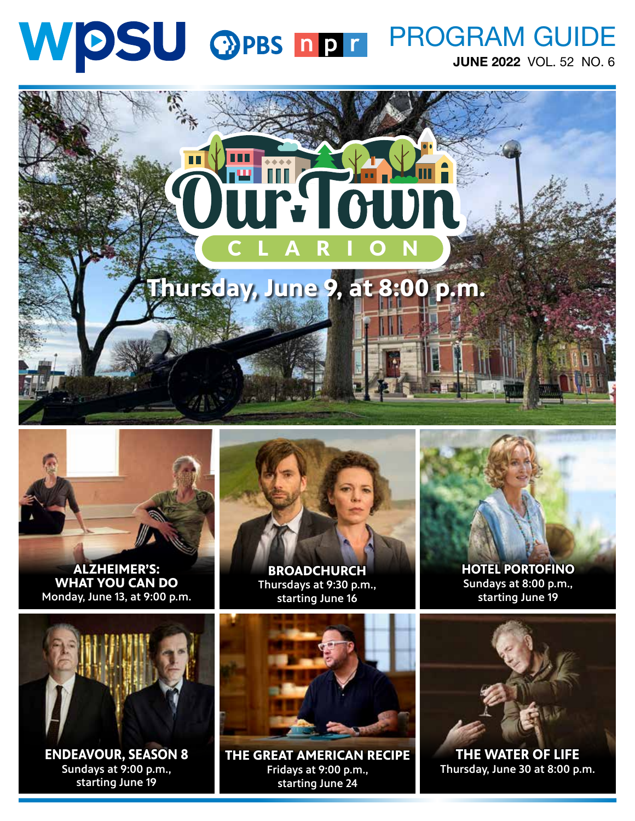#### WDSU OPBS DDT PROGRAM GUIDE JUNE 2022 VOL. 52 NO. 6





**ALZHEIMER'S: WHAT YOU CAN DO**  Monday, June 13, at 9:00 p.m.



**BROADCHURCH** Thursdays at 9:30 p.m., starting June 16



**HOTEL PORTOFINO** Sundays at 8:00 p.m., starting June 19



**ENDEAVOUR, SEASON 8** Sundays at 9:00 p.m., starting June 19



**THE GREAT AMERICAN RECIPE**  Fridays at 9:00 p.m., starting June 24



**THE WATER OF LIFE** Thursday, June 30 at 8:00 p.m.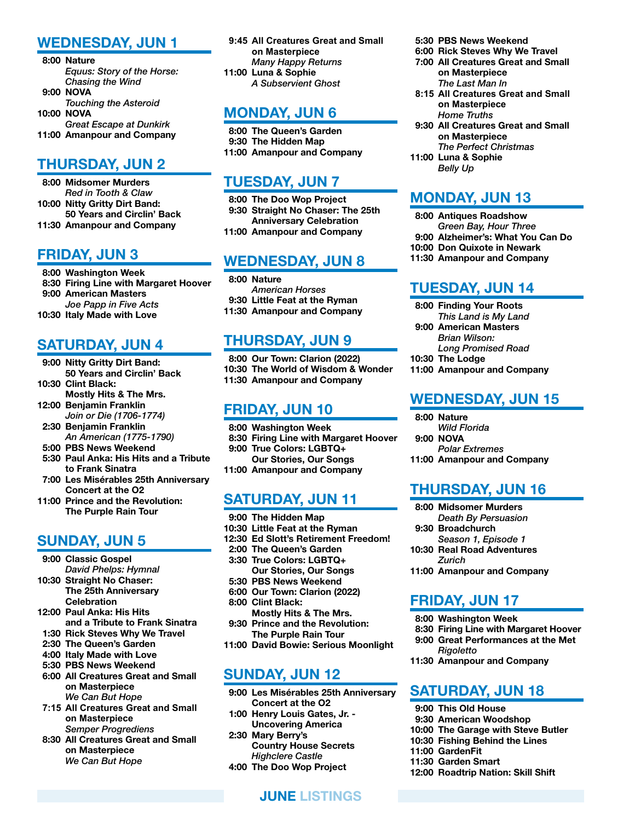#### WEDNESDAY, JUN 1

- 8:00 Nature *Equus: Story of the Horse: Chasing the Wind* 9:00 NOVA *Touching the Asteroid* 10:00 NOVA *Great Escape at Dunkirk*
- 11:00 Amanpour and Company

#### THURSDAY, JUN 2

- 8:00 Midsomer Murders *Red in Tooth & Claw* 10:00 Nitty Gritty Dirt Band: 50 Years and Circlin' Back
- 11:30 Amanpour and Company

#### FRIDAY, JUN 3

- 8:00 Washington Week
- 8:30 Firing Line with Margaret Hoover 9:00 American Masters *Joe Papp in Five Acts*
- 10:30 Italy Made with Love

#### SATURDAY, JUN 4

- 9:00 Nitty Gritty Dirt Band: 50 Years and Circlin' Back
- 10:30 Clint Black:
- Mostly Hits & The Mrs. 12:00 Benjamin Franklin
- *Join or Die (1706-1774)*
- 2:30 Benjamin Franklin *An American (1775-1790)*
- 5:00 PBS News Weekend
- 5:30 Paul Anka: His Hits and a Tribute to Frank Sinatra
- 7:00 Les Misérables 25th Anniversary Concert at the O2
- 11:00 Prince and the Revolution: The Purple Rain Tour

#### SUNDAY, JUN 5

- 9:00 Classic Gospel *David Phelps: Hymnal*
- 10:30 Straight No Chaser: The 25th Anniversary **Celebration**
- 12:00 Paul Anka: His Hits and a Tribute to Frank Sinatra
- 1:30 Rick Steves Why We Travel
- 2:30 The Queen's Garden
- 4:00 Italy Made with Love
- 5:30 PBS News Weekend 6:00 All Creatures Great and Small on Masterpiece *We Can But Hope*
- **7:15 All Creatures Great and Small on Masterpiece** *Semper Progrediens*
- 8:30 All Creatures Great and Small on Masterpiece *We Can But Hope*

 **9:45 All Creatures Great and Small on Masterpiece** *Many Happy Returns* 11:00 Luna & Sophie *A Subservient Ghost*

#### MONDAY, JUN 6

- 8:00 The Queen's Garden 9:30 The Hidden Map
- 11:00 Amanpour and Company

#### TUESDAY, JUN 7

 8:00 The Doo Wop Project 9:30 Straight No Chaser: The 25th Anniversary Celebration 11:00 Amanpour and Company

#### WEDNESDAY, JUN 8

 8:00 Nature *American Horses* 9:30 Little Feat at the Ryman 11:30 Amanpour and Company

#### THURSDAY, JUN 9

 8:00 Our Town: Clarion (2022) 10:30 The World of Wisdom & Wonder 11:30 Amanpour and Company

#### FRIDAY, JUN 10

- 8:00 Washington Week
- 8:30 Firing Line with Margaret Hoover
- 9:00 True Colors: LGBTQ+ Our Stories, Our Songs
- 11:00 Amanpour and Company

#### SATURDAY, JUN 11

- 9:00 The Hidden Map
- 10:30 Little Feat at the Ryman
- 12:30 Ed Slott's Retirement Freedom!
- 2:00 The Queen's Garden
- 3:30 True Colors: LGBTQ+ Our Stories, Our Songs
- 5:30 PBS News Weekend
- 6:00 Our Town: Clarion (2022) 8:00 Clint Black:
- Mostly Hits & The Mrs. 9:30 Prince and the Revolution:
- The Purple Rain Tour 11:00 David Bowie: Serious Moonlight

#### SUNDAY, JUN 12

 9:00 Les Misérables 25th Anniversary Concert at the O2

JUNE LISTINGS

- 1:00 Henry Louis Gates, Jr. Uncovering America
- 2:30 Mary Berry's Country House Secrets *Highclere Castle*
- 4:00 The Doo Wop Project
- 5:30 PBS News Weekend
- 6:00 Rick Steves Why We Travel
- 7:00 All Creatures Great and Small on Masterpiece *The Last Man In*
- **8:15 All Creatures Great and Small on Masterpiece** *Home Truths*
- 9:30 All Creatures Great and Small on Masterpiece *The Perfect Christmas*
- 11:00 Luna & Sophie *Belly Up*

#### MONDAY, JUN 13

- 8:00 Antiques Roadshow
- *Green Bay, Hour Three*
- 9:00 Alzheimer's: What You Can Do
- 10:00 Don Quixote in Newark
- 11:30 Amanpour and Company

#### TUESDAY, JUN 14

- 8:00 Finding Your Roots
- *This Land is My Land* 9:00 American Masters
- *Brian Wilson: Long Promised Road*
- 10:30 The Lodge
- 11:00 Amanpour and Company

#### WEDNESDAY, JUN 15

- 8:00 Nature
	- *Wild Florida*
- 9:00 NOVA *Polar Extremes*
- 11:00 Amanpour and Company

#### THURSDAY, JUN 16

- 8:00 Midsomer Murders *Death By Persuasion*
- 9:30 Broadchurch *Season 1, Episode 1*
- 10:30 Real Road Adventures *Zurich*
- 11:00 Amanpour and Company

#### FRIDAY, JUN 17

- 8:00 Washington Week
- 8:30 Firing Line with Margaret Hoover 9:00 Great Performances at the Met
- *Rigoletto* 11:30 Amanpour and Company

#### SATURDAY, JUN 18

- 9:00 This Old House
- 9:30 American Woodshop
- 10:00 The Garage with Steve Butler
- 10:30 Fishing Behind the Lines
- 11:00 GardenFit
- 11:30 Garden Smart
- 12:00 Roadtrip Nation: Skill Shift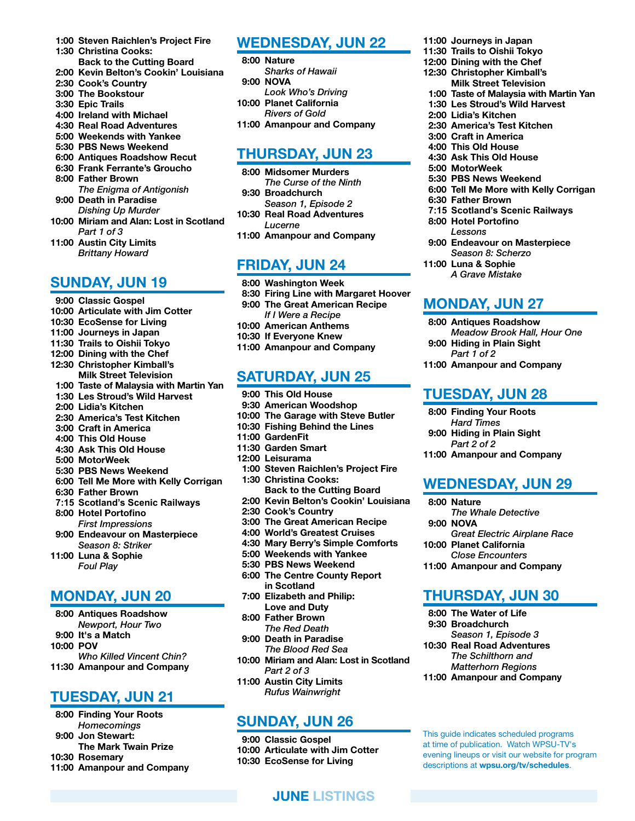- 1:00 Steven Raichlen's Project Fire
- 1:30 Christina Cooks: Back to the Cutting Board
- 2:00 Kevin Belton's Cookin' Louisiana
- 2:30 Cook's Country
- 3:00 The Bookstour
- 3:30 Epic Trails
- 4:00 Ireland with Michael
- 4:30 Real Road Adventures
- 5:00 Weekends with Yankee
- 5:30 PBS News Weekend
- 6:00 Antiques Roadshow Recut
- 6:30 Frank Ferrante's Groucho
- 8:00 Father Brown
- *The Enigma of Antigonish* 9:00 Death in Paradise
- *Dishing Up Murder* 10:00 Miriam and Alan: Lost in Scotland *Part 1 of 3*
- 11:00 Austin City Limits *Brittany Howard*

#### SUNDAY, JUN 19

- 9:00 Classic Gospel
- 10:00 Articulate with Jim Cotter
- 10:30 EcoSense for Living
- 11:00 Journeys in Japan
- 11:30 Trails to Oishii Tokyo
- 12:00 Dining with the Chef
- 12:30 Christopher Kimball's
- Milk Street Television
- 1:00 Taste of Malaysia with Martin Yan 1:30 Les Stroud's Wild Harvest
- 
- 2:00 Lidia's Kitchen
- 2:30 America's Test Kitchen
- 3:00 Craft in America 4:00 This Old House
- 4:30 Ask This Old House
- 5:00 MotorWeek
- 5:30 PBS News Weekend
- 6:00 Tell Me More with Kelly Corrigan
- 6:30 Father Brown
- **7:15 Scotland's Scenic Railways**
- 8:00 Hotel Portofino
- *First Impressions* 9:00 Endeavour on Masterpiece *Season 8: Striker*
- 11:00 Luna & Sophie *Foul Play*

#### MONDAY, JUN 20

- 8:00 Antiques Roadshow
- *Newport, Hour Two*
- 9:00 It's a Match
- 10:00 POV
- *Who Killed Vincent Chin?* 11:30 Amanpour and Company

#### TUESDAY, JUN 21

- 8:00 Finding Your Roots *Homecomings*
- 9:00 Jon Stewart:
- The Mark Twain Prize
- 10:30 Rosemary
- 11:00 Amanpour and Company

#### WEDNESDAY, JUN 22

 8:00 Nature *Sharks of Hawaii* 9:00 NOVA *Look Who's Driving* 10:00 Planet California *Rivers of Gold* 11:00 Amanpour and Company

#### THURSDAY, JUN 23

- 8:00 Midsomer Murders *The Curse of the Ninth* 9:30 Broadchurch *Season 1, Episode 2*
- 10:30 Real Road Adventures *Lucerne*
- 11:00 Amanpour and Company

#### FRIDAY, JUN 24

- 8:00 Washington Week 8:30 Firing Line with Margaret Hoover 9:00 The Great American Recipe *If I Were a Recipe* 10:00 American Anthems 10:30 If Everyone Knew
- 11:00 Amanpour and Company

#### SATURDAY, JUN 25

- 9:00 This Old House
- 9:30 American Woodshop
- 10:00 The Garage with Steve Butler
- 10:30 Fishing Behind the Lines
- 11:00 GardenFit
- 11:30 Garden Smart
- 12:00 Leisurama
- 1:00 Steven Raichlen's Project Fire
- 1:30 Christina Cooks: Back to the Cutting Board
- 2:00 Kevin Belton's Cookin' Louisiana
- 2:30 Cook's Country
- 3:00 The Great American Recipe
- 4:00 World's Greatest Cruises
- 4:30 Mary Berry's Simple Comforts
- 5:00 Weekends with Yankee
- 5:30 PBS News Weekend
- 6:00 The Centre County Report in Scotland
- 7:00 Elizabeth and Philip: Love and Duty
- 8:00 Father Brown *The Red Death*
- 9:00 Death in Paradise *The Blood Red Sea*
- 10:00 Miriam and Alan: Lost in Scotland *Part 2 of 3*
- 11:00 Austin City Limits *Rufus Wainwright*

#### SUNDAY, JUN 26

 9:00 Classic Gospel 10:00 Articulate with Jim Cotter 10:30 EcoSense for Living

JUNE LISTINGS

- 11:00 Journeys in Japan
- 11:30 Trails to Oishii Tokyo
- 12:00 Dining with the Chef
- 12:30 Christopher Kimball's Milk Street Television
- 1:00 Taste of Malaysia with Martin Yan
- 1:30 Les Stroud's Wild Harvest
- 2:00 Lidia's Kitchen
- 2:30 America's Test Kitchen
- 3:00 Craft in America
- 4:00 This Old House
- 4:30 Ask This Old House
- 5:00 MotorWeek
- 5:30 PBS News Weekend 6:00 Tell Me More with Kelly Corrigan
- 6:30 Father Brown

 8:00 Hotel Portofino *Lessons*

11:00 Luna & Sophie *A Grave Mistake*

MONDAY, JUN 27 8:00 Antiques Roadshow

 9:00 Hiding in Plain Sight *Part 1 of 2*

TUESDAY, JUN 28 8:00 Finding Your Roots *Hard Times* 9:00 Hiding in Plain Sight *Part 2 of 2*

11:00 Amanpour and Company

11:00 Amanpour and Company

WEDNESDAY, JUN 29

*The Whale Detective*

THURSDAY, JUN 30

*Season 1, Episode 3* 10:30 Real Road Adventures *The Schilthorn and Matterhorn Regions* 11:00 Amanpour and Company

This guide indicates scheduled programs at time of publication. Watch WPSU-TV's evening lineups or visit our website for program descriptions at wpsu.org/tv/schedules.

 8:00 The Water of Life 9:30 Broadchurch

*Great Electric Airplane Race*

8:00 Nature

9:00 NOVA

10:00 Planet California *Close Encounters* 11:00 Amanpour and Company

 **7:15 Scotland's Scenic Railways**

 9:00 Endeavour on Masterpiece *Season 8: Scherzo*

*Meadow Brook Hall, Hour One*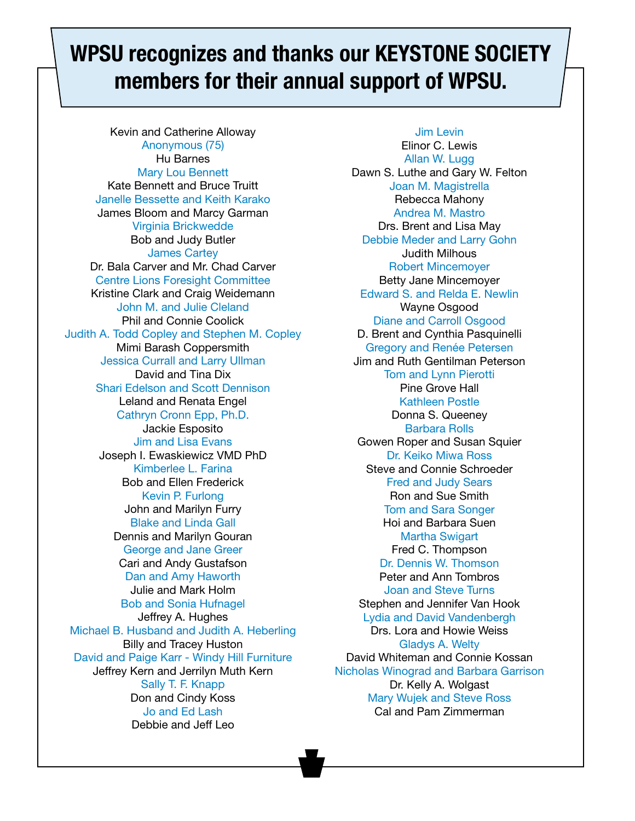### WPSU recognizes and thanks our KEYSTONE SOCIETY members for their annual support of WPSU.

Kevin and Catherine Alloway Anonymous (75) Hu Barnes Mary Lou Bennett Kate Bennett and Bruce Truitt Janelle Bessette and Keith Karako James Bloom and Marcy Garman Virginia Brickwedde Bob and Judy Butler James Cartey Dr. Bala Carver and Mr. Chad Carver Centre Lions Foresight Committee Kristine Clark and Craig Weidemann John M. and Julie Cleland Phil and Connie Coolick Judith A. Todd Copley and Stephen M. Copley Mimi Barash Coppersmith Jessica Currall and Larry Ullman David and Tina Dix Shari Edelson and Scott Dennison Leland and Renata Engel Cathryn Cronn Epp, Ph.D. Jackie Esposito Jim and Lisa Evans Joseph I. Ewaskiewicz VMD PhD Kimberlee L. Farina Bob and Ellen Frederick Kevin P. Furlong John and Marilyn Furry Blake and Linda Gall Dennis and Marilyn Gouran George and Jane Greer Cari and Andy Gustafson Dan and Amy Haworth Julie and Mark Holm Bob and Sonia Hufnagel Jeffrey A. Hughes Michael B. Husband and Judith A. Heberling Billy and Tracey Huston David and Paige Karr - Windy Hill Furniture Jeffrey Kern and Jerrilyn Muth Kern Sally T. F. Knapp Don and Cindy Koss Jo and Ed Lash Debbie and Jeff Leo

Jim Levin Elinor C. Lewis Allan W. Lugg Dawn S. Luthe and Gary W. Felton Joan M. Magistrella Rebecca Mahony Andrea M. Mastro Drs. Brent and Lisa May Debbie Meder and Larry Gohn Judith Milhous Robert Mincemoyer Betty Jane Mincemoyer Edward S. and Relda E. Newlin Wayne Osgood Diane and Carroll Osgood D. Brent and Cynthia Pasquinelli Gregory and Renée Petersen Jim and Ruth Gentilman Peterson Tom and Lynn Pierotti Pine Grove Hall Kathleen Postle Donna S. Queeney Barbara Rolls Gowen Roper and Susan Squier Dr. Keiko Miwa Ross Steve and Connie Schroeder Fred and Judy Sears Ron and Sue Smith Tom and Sara Songer Hoi and Barbara Suen Martha Swigart Fred C. Thompson Dr. Dennis W. Thomson Peter and Ann Tombros Joan and Steve Turns Stephen and Jennifer Van Hook Lydia and David Vandenbergh Drs. Lora and Howie Weiss Gladys A. Welty David Whiteman and Connie Kossan Nicholas Winograd and Barbara Garrison Dr. Kelly A. Wolgast Mary Wujek and Steve Ross Cal and Pam Zimmerman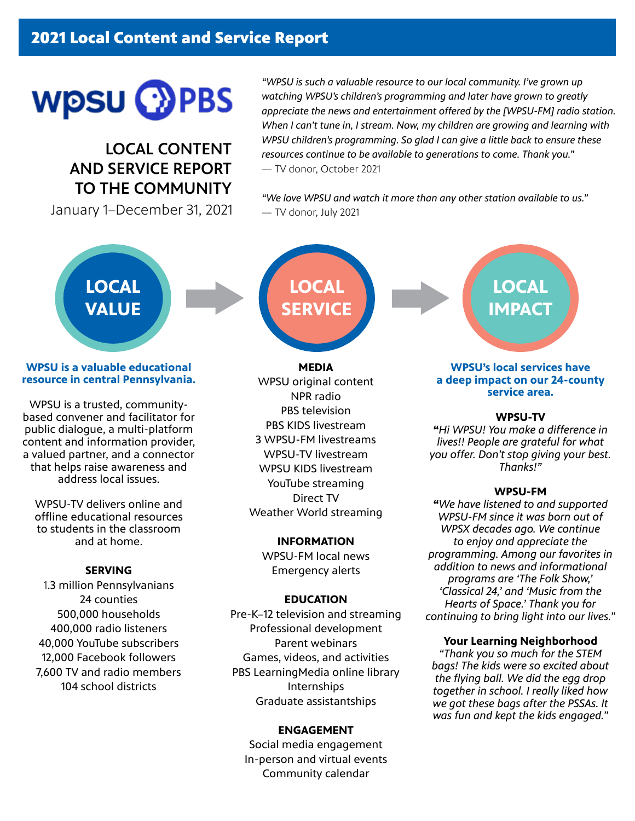# **WPSU COPBS**

LOCAL CONTENT AND SERVICE REPORT TO THE COMMUNITY

January 1–December 31, 2021

*"WPSU is such a valuable resource to our local community. I've grown up watching WPSU's children's programming and later have grown to greatly appreciate the news and entertainment offered by the [WPSU-FM] radio station. When I can't tune in, I stream. Now, my children are growing and learning with WPSU children's programming. So glad I can give a little back to ensure these resources continue to be available to generations to come. Thank you."* — TV donor, October 2021

*"We love WPSU and watch it more than any other station available to us."* — TV donor, July 2021

## **LOCAL VALUE**

#### **WPSU is a valuable educational resource in central Pennsylvania.**

WPSU is a trusted, communitybased convener and facilitator for public dialogue, a multi-platform content and information provider, a valued partner, and a connector that helps raise awareness and address local issues.

WPSU-TV delivers online and offline educational resources to students in the classroom and at home.

#### **SERVING**

1.3 million Pennsylvanians 24 counties 500,000 households 400,000 radio listeners 40,000 YouTube subscribers 12,000 Facebook followers 7,600 TV and radio members 104 school districts

**LOCAL SERVICE**

**MEDIA** WPSU original content NPR radio PBS television PBS KIDS livestream 3 WPSU-FM livestreams WPSU-TV livestream WPSU KIDS livestream YouTube streaming Direct TV Weather World streaming

#### **INFORMATION**

WPSU-FM local news Emergency alerts

#### **EDUCATION**

Pre-K–12 television and streaming Professional development Parent webinars Games, videos, and activities PBS LearningMedia online library Internships Graduate assistantships

#### **ENGAGEMENT**

Social media engagement In-person and virtual events Community calendar

**LOCAL IMPACT**

#### **WPSU's local services have a deep impact on our 24-county service area.**

#### **WPSU-TV**

**"***Hi WPSU! You make a difference in lives!! People are grateful for what you offer. Don't stop giving your best. Thanks!"* 

#### **WPSU-FM**

**"***We have listened to and supported WPSU-FM since it was born out of WPSX decades ago. We continue to enjoy and appreciate the programming. Among our favorites in addition to news and informational programs are 'The Folk Show,' 'Classical 24,' and 'Music from the Hearts of Space.' Thank you for continuing to bring light into our lives."*

#### **Your Learning Neighborhood**

*"Thank you so much for the STEM bags! The kids were so excited about the flying ball. We did the egg drop together in school. I really liked how we got these bags after the PSSAs. It was fun and kept the kids engaged."*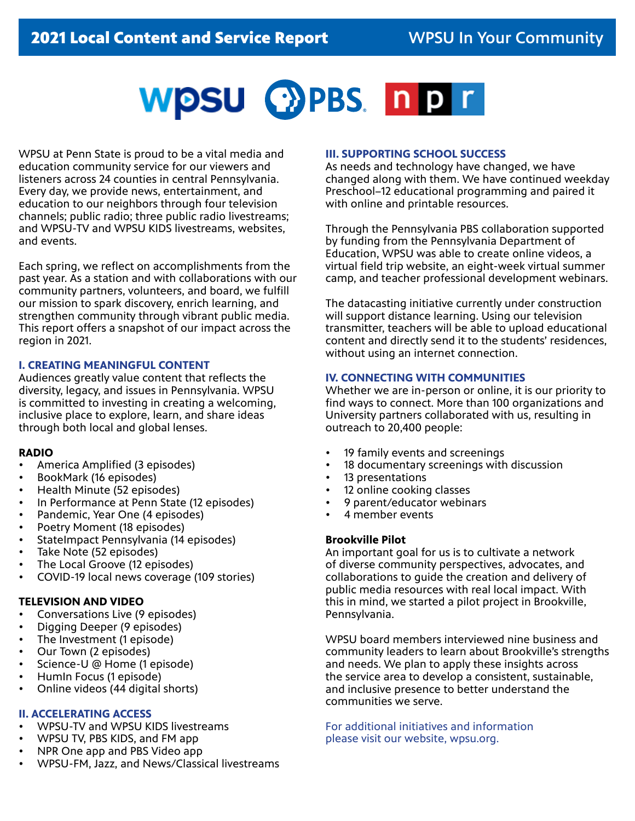

WPSU at Penn State is proud to be a vital media and education community service for our viewers and listeners across 24 counties in central Pennsylvania. Every day, we provide news, entertainment, and education to our neighbors through four television channels; public radio; three public radio livestreams; and WPSU-TV and WPSU KIDS livestreams, websites, and events.

Each spring, we reflect on accomplishments from the past year. As a station and with collaborations with our community partners, volunteers, and board, we fulfill our mission to spark discovery, enrich learning, and strengthen community through vibrant public media. This report offers a snapshot of our impact across the region in 2021.

#### **I. CREATING MEANINGFUL CONTENT**

Audiences greatly value content that reflects the diversity, legacy, and issues in Pennsylvania. WPSU is committed to investing in creating a welcoming, inclusive place to explore, learn, and share ideas through both local and global lenses.

#### **RADIO**

- America Amplified (3 episodes)
- BookMark (16 episodes)
- Health Minute (52 episodes)
- In Performance at Penn State (12 episodes)
- Pandemic, Year One (4 episodes)
- Poetry Moment (18 episodes)
- StateImpact Pennsylvania (14 episodes)
- Take Note (52 episodes)
- The Local Groove (12 episodes)
- COVID-19 local news coverage (109 stories)

#### **TELEVISION AND VIDEO**

- Conversations Live (9 episodes)
- Digging Deeper (9 episodes)
- The Investment (1 episode)
- Our Town (2 episodes)
- Science-U @ Home (1 episode)
- HumIn Focus (1 episode)
- Online videos (44 digital shorts)

#### **II. ACCELERATING ACCESS**

- WPSU-TV and WPSU KIDS livestreams
- WPSU TV, PBS KIDS, and FM app
- NPR One app and PBS Video app
- WPSU-FM, Jazz, and News/Classical livestreams

#### **III. SUPPORTING SCHOOL SUCCESS**

As needs and technology have changed, we have changed along with them. We have continued weekday Preschool–12 educational programming and paired it with online and printable resources.

Through the Pennsylvania PBS collaboration supported by funding from the Pennsylvania Department of Education, WPSU was able to create online videos, a virtual field trip website, an eight-week virtual summer camp, and teacher professional development webinars.

The datacasting initiative currently under construction will support distance learning. Using our television transmitter, teachers will be able to upload educational content and directly send it to the students' residences, without using an internet connection.

#### **IV. CONNECTING WITH COMMUNITIES**

Whether we are in-person or online, it is our priority to find ways to connect. More than 100 organizations and University partners collaborated with us, resulting in outreach to 20,400 people:

- 19 family events and screenings
- 18 documentary screenings with discussion
- 13 presentations
- 12 online cooking classes
- 9 parent/educator webinars
- 4 member events

#### **Brookville Pilot**

An important goal for us is to cultivate a network of diverse community perspectives, advocates, and collaborations to guide the creation and delivery of public media resources with real local impact. With this in mind, we started a pilot project in Brookville, Pennsylvania.

WPSU board members interviewed nine business and community leaders to learn about Brookville's strengths and needs. We plan to apply these insights across the service area to develop a consistent, sustainable, and inclusive presence to better understand the communities we serve.

For additional initiatives and information please visit our website, wpsu.org.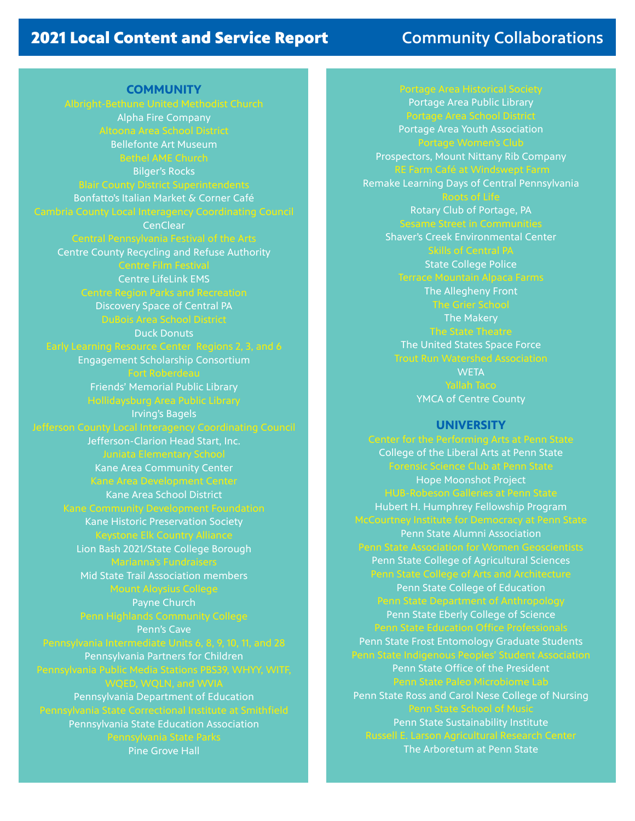### 2021 Local Content and Service Report **Community Collaborations**

**COMMUNITY** Alpha Fire Company Bellefonte Art Museum Bilger's Rocks Bonfatto's Italian Market & Corner Café **CenClear** Centre County Recycling and Refuse Authority Centre LifeLink EMS Discovery Space of Central PA Duck Donuts Engagement Scholarship Consortium Friends' Memorial Public Library Irving's Bagels Jefferson-Clarion Head Start, Inc. Kane Area Community Center Kane Area School District Kane Historic Preservation Society Lion Bash 2021/State College Borough Mid State Trail Association members Payne Church Penn's Cave Pennsylvania Partners for Children Pennsylvania Department of Education Pennsylvania State Education Association Pine Grove Hall

Portage Area Public Library Portage Area Youth Association Prospectors, Mount Nittany Rib Company Remake Learning Days of Central Pennsylvania Rotary Club of Portage, PA

Shaver's Creek Environmental Center

State College Police

The Allegheny Front The Makery The United States Space Force **WETA** 

YMCA of Centre County

#### **UNIVERSITY**

College of the Liberal Arts at Penn State Hope Moonshot Project Hubert H. Humphrey Fellowship Program Penn State Alumni Association Penn State College of Agricultural Sciences Penn State College of Education Penn State Eberly College of Science Penn State Frost Entomology Graduate Students Penn State Office of the President Penn State Ross and Carol Nese College of Nursing Penn State Sustainability Institute

The Arboretum at Penn State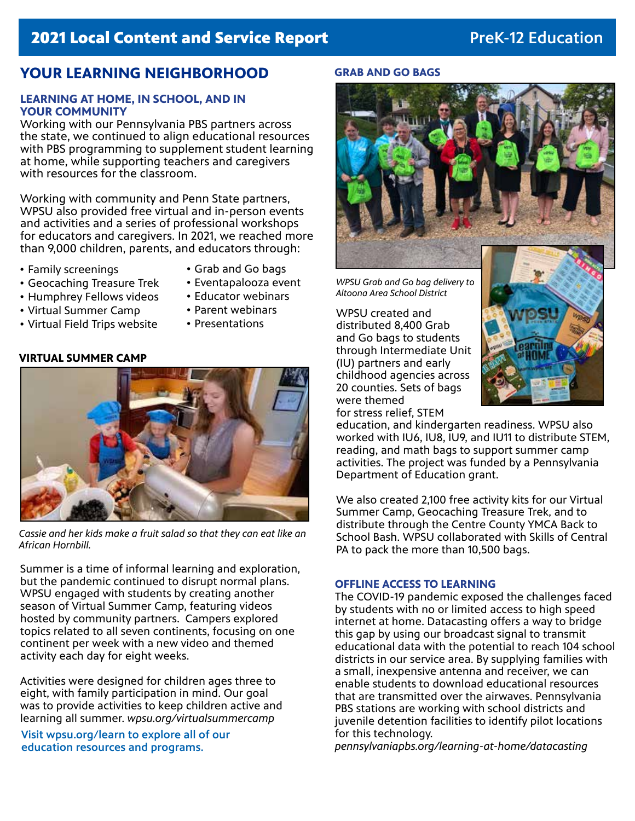### **2021 Local Content and Service Report Access 2021 Local Content and Service Report Access 2021 Local Education**

#### **YOUR LEARNING NEIGHBORHOOD**

#### **LEARNING AT HOME, IN SCHOOL, AND IN YOUR COMMUNITY**

Working with our Pennsylvania PBS partners across the state, we continued to align educational resources with PBS programming to supplement student learning at home, while supporting teachers and caregivers with resources for the classroom.

Working with community and Penn State partners, WPSU also provided free virtual and in-person events and activities and a series of professional workshops for educators and caregivers. In 2021, we reached more than 9,000 children, parents, and educators through:

- Family screenings
- Grab and Go bags • Eventapalooza event
- Geocaching Treasure Trek
- Humphrey Fellows videos • Educator webinars
- Virtual Summer Camp
- Parent webinars • Presentations
- Virtual Field Trips website
- **VIRTUAL SUMMER CAMP**



*Cassie and her kids make a fruit salad so that they can eat like an African Hornbill.*

Summer is a time of informal learning and exploration, but the pandemic continued to disrupt normal plans. WPSU engaged with students by creating another season of Virtual Summer Camp, featuring videos hosted by community partners. Campers explored topics related to all seven continents, focusing on one continent per week with a new video and themed activity each day for eight weeks.

Activities were designed for children ages three to eight, with family participation in mind. Our goal was to provide activities to keep children active and learning all summer. *wpsu.org/virtualsummercamp*

Visit wpsu.org/learn to explore all of our education resources and programs.

#### **GRAB AND GO BAGS**



*WPSU Grab and Go bag delivery to Altoona Area School District*

WPSU created and distributed 8,400 Grab and Go bags to students through Intermediate Unit (IU) partners and early childhood agencies across 20 counties. Sets of bags were themed for stress relief, STEM



education, and kindergarten readiness. WPSU also worked with IU6, IU8, IU9, and IU11 to distribute STEM, reading, and math bags to support summer camp activities. The project was funded by a Pennsylvania Department of Education grant.

We also created 2,100 free activity kits for our Virtual Summer Camp, Geocaching Treasure Trek, and to distribute through the Centre County YMCA Back to School Bash. WPSU collaborated with Skills of Central PA to pack the more than 10,500 bags.

#### **OFFLINE ACCESS TO LEARNING**

The COVID-19 pandemic exposed the challenges faced by students with no or limited access to high speed internet at home. Datacasting offers a way to bridge this gap by using our broadcast signal to transmit educational data with the potential to reach 104 school districts in our service area. By supplying families with a small, inexpensive antenna and receiver, we can enable students to download educational resources that are transmitted over the airwaves. Pennsylvania PBS stations are working with school districts and juvenile detention facilities to identify pilot locations for this technology.

*pennsylvaniapbs.org/learning-at-home/datacasting*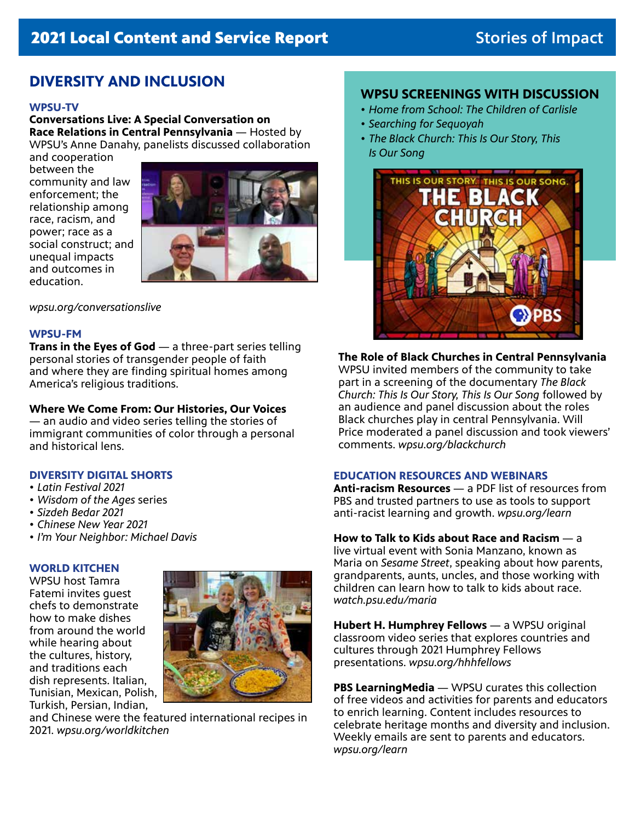#### **DIVERSITY AND INCLUSION**

#### **WPSU-TV**

**Conversations Live: A Special Conversation on Race Relations in Central Pennsylvania** — Hosted by WPSU's Anne Danahy, panelists discussed collaboration

and cooperation between the community and law enforcement; the relationship among race, racism, and power; race as a social construct; and unequal impacts and outcomes in education.



*wpsu.org/conversationslive*

#### **WPSU-FM**

**Trans in the Eyes of God** — a three-part series telling personal stories of transgender people of faith and where they are finding spiritual homes among America's religious traditions.

#### **Where We Come From: Our Histories, Our Voices**

— an audio and video series telling the stories of immigrant communities of color through a personal and historical lens.

#### **DIVERSITY DIGITAL SHORTS**

- *• Latin Festival 2021*
- *• Wisdom of the Ages* series
- *• Sizdeh Bedar 2021*
- *• Chinese New Year 2021*
- *• I'm Your Neighbor: Michael Davis*

#### **WORLD KITCHEN**

WPSU host Tamra Fatemi invites guest chefs to demonstrate how to make dishes from around the world while hearing about the cultures, history, and traditions each dish represents. Italian, Tunisian, Mexican, Polish, Turkish, Persian, Indian,



and Chinese were the featured international recipes in 2021. *wpsu.org/worldkitchen*

#### **WPSU SCREENINGS WITH DISCUSSION**

- *• Home from School: The Children of Carlisle*
- *• Searching for Sequoyah*
- *• The Black Church: This Is Our Story, This Is Our Song*



### **The Role of Black Churches in Central Pennsylvania**

WPSU invited members of the community to take part in a screening of the documentary *The Black Church: This Is Our Story, This Is Our Song* followed by an audience and panel discussion about the roles Black churches play in central Pennsylvania. Will Price moderated a panel discussion and took viewers' comments. *wpsu.org/blackchurch*

#### **EDUCATION RESOURCES AND WEBINARS**

**Anti-racism Resources** — a PDF list of resources from PBS and trusted partners to use as tools to support anti-racist learning and growth. *wpsu.org/learn*

#### **How to Talk to Kids about Race and Racism** — a

live virtual event with Sonia Manzano, known as Maria on *Sesame Street*, speaking about how parents, grandparents, aunts, uncles, and those working with children can learn how to talk to kids about race. *watch.psu.edu/maria*

**Hubert H. Humphrey Fellows** — a WPSU original classroom video series that explores countries and cultures through 2021 Humphrey Fellows presentations. *wpsu.org/hhhfellows*

**PBS LearningMedia** — WPSU curates this collection of free videos and activities for parents and educators to enrich learning. Content includes resources to celebrate heritage months and diversity and inclusion. Weekly emails are sent to parents and educators. *wpsu.org/learn*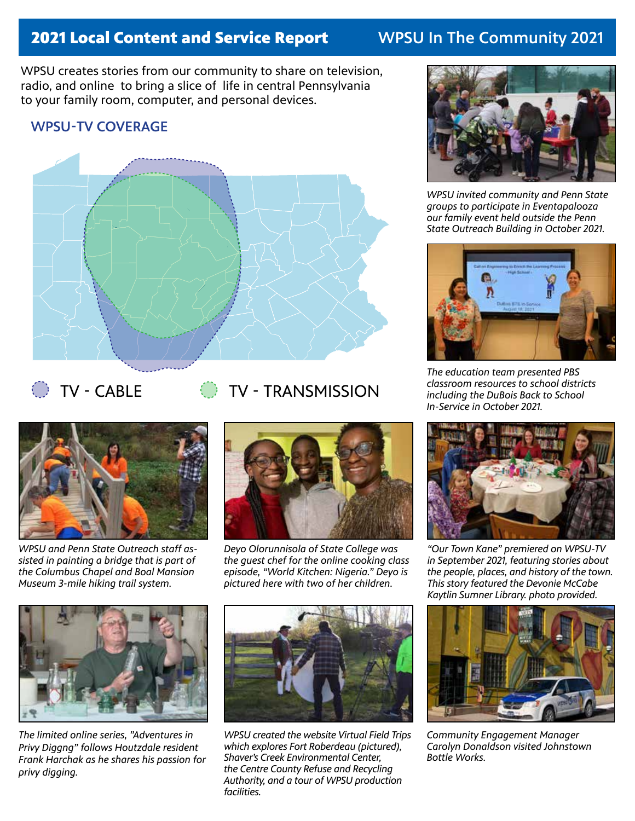### 2021 Local Content and Service Report WPSU In The Community 2021

WPSU creates stories from our community to share on television, radio, and online to bring a slice of life in central Pennsylvania to your family room, computer, and personal devices.

#### WPSU-TV COVERAGE





- 
- TV CABLE **TV TRANSMISSION**



*WPSU and Penn State Outreach staff assisted in painting a bridge that is part of the Columbus Chapel and Boal Mansion Museum 3-mile hiking trail system.* 



*Deyo Olorunnisola of State College was the guest chef for the online cooking class episode, "World Kitchen: Nigeria." Deyo is pictured here with two of her children.*



*The limited online series, "Adventures in Privy Diggng" follows Houtzdale resident Frank Harchak as he shares his passion for privy digging.*



*WPSU created the website Virtual Field Trips which explores Fort Roberdeau (pictured), Shaver's Creek Environmental Center, the Centre County Refuse and Recycling Authority, and a tour of WPSU production facilities.*



*WPSU invited community and Penn State groups to participate in Eventapalooza our family event held outside the Penn State Outreach Building in October 2021.*



*The education team presented PBS classroom resources to school districts including the DuBois Back to School In-Service in October 2021.*



*"Our Town Kane" premiered on WPSU-TV in September 2021, featuring stories about the people, places, and history of the town. This story featured the Devonie McCabe Kaytlin Sumner Library. photo provided.*



*Community Engagement Manager Carolyn Donaldson visited Johnstown Bottle Works.*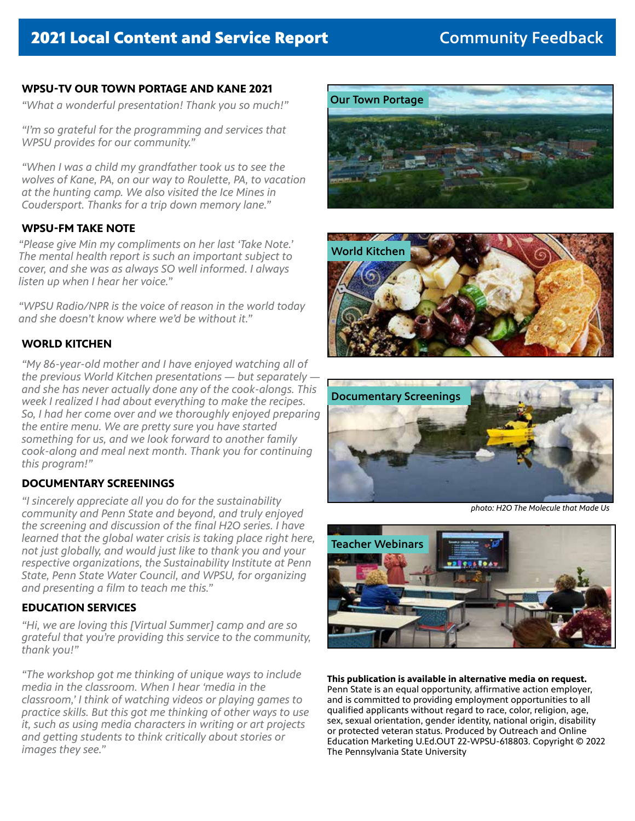#### **WPSU-TV OUR TOWN PORTAGE AND KANE 2021**

*"What a wonderful presentation! Thank you so much!"* 

*"I'm so grateful for the programming and services that WPSU provides for our community."*

*"When I was a child my grandfather took us to see the wolves of Kane, PA, on our way to Roulette, PA, to vacation at the hunting camp. We also visited the Ice Mines in Coudersport. Thanks for a trip down memory lane."*

#### **WPSU-FM TAKE NOTE**

*"Please give Min my compliments on her last 'Take Note.' The mental health report is such an important subject to cover, and she was as always SO well informed. I always listen up when I hear her voice."*

*"WPSU Radio/NPR is the voice of reason in the world today and she doesn't know where we'd be without it."*

#### **WORLD KITCHEN**

*"My 86-year-old mother and I have enjoyed watching all of the previous World Kitchen presentations — but separately and she has never actually done any of the cook-alongs. This week I realized I had about everything to make the recipes. So, I had her come over and we thoroughly enjoyed preparing the entire menu. We are pretty sure you have started something for us, and we look forward to another family cook-along and meal next month. Thank you for continuing this program!"*

#### **DOCUMENTARY SCREENINGS**

*"I sincerely appreciate all you do for the sustainability community and Penn State and beyond, and truly enjoyed the screening and discussion of the final H2O series. I have learned that the global water crisis is taking place right here, not just globally, and would just like to thank you and your respective organizations, the Sustainability Institute at Penn State, Penn State Water Council, and WPSU, for organizing and presenting a film to teach me this."*

#### **EDUCATION SERVICES**

*"Hi, we are loving this [Virtual Summer] camp and are so grateful that you're providing this service to the community, thank you!"*

*"The workshop got me thinking of unique ways to include media in the classroom. When I hear 'media in the classroom,' I think of watching videos or playing games to practice skills. But this got me thinking of other ways to use it, such as using media characters in writing or art projects and getting students to think critically about stories or images they see."*







*photo: H2O The Molecule that Made Us*



**This publication is available in alternative media on request.**

Penn State is an equal opportunity, affirmative action employer, and is committed to providing employment opportunities to all qualified applicants without regard to race, color, religion, age, sex, sexual orientation, gender identity, national origin, disability or protected veteran status. Produced by Outreach and Online Education Marketing U.Ed.OUT 22-WPSU-618803. Copyright © 2022 The Pennsylvania State University